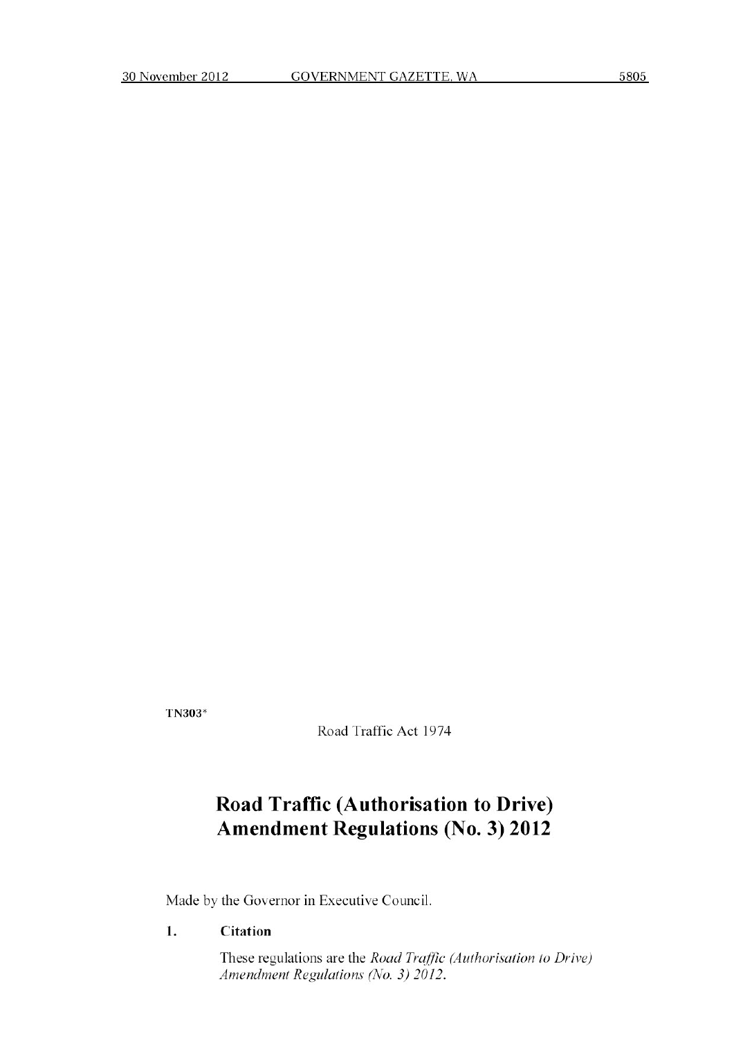TN303\*

Road Traffic Act 1974

# **Road Traffic (Authorisation to Drive) Amendment Regulations (No. 3) 2012**

Made by the Governor in Executive Council.

#### **1. Citation**

These regulations are the *Road Traffic (Authorisation to Drive) Amendment Regulations (No. 3) 2012.*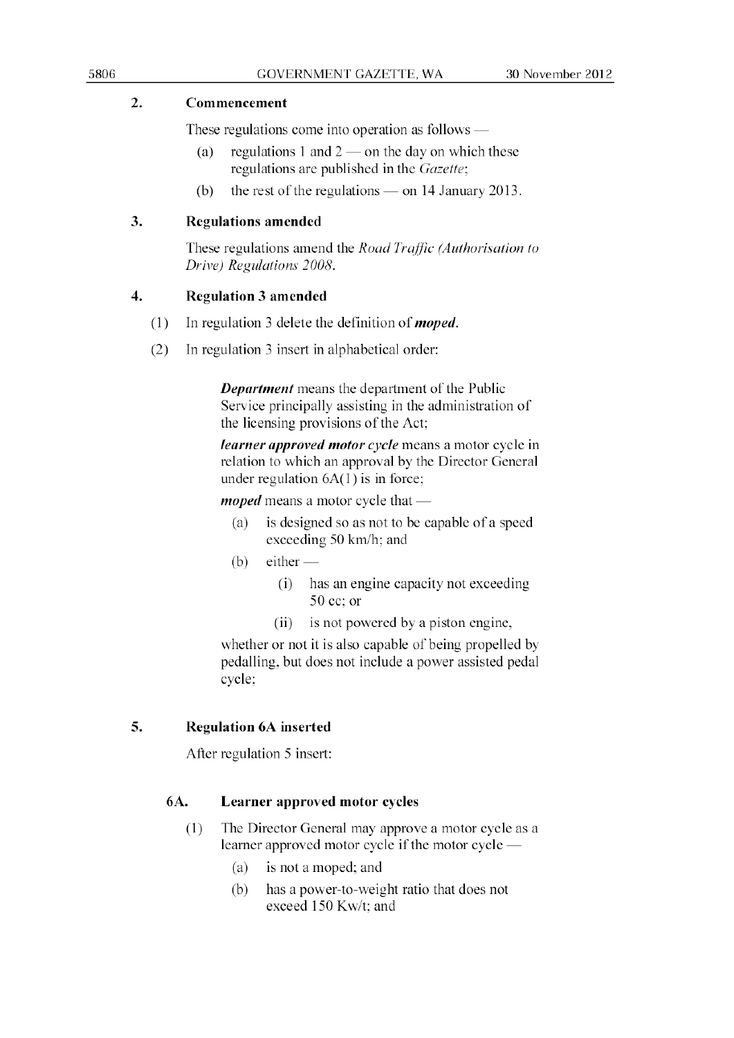### 2. **Commencement**

These regulations come into operation as follows  $-$ 

- (a) regulations 1 and  $2$  on the day on which these regulations are published in the Gazette;
- (b) the rest of the regulations  $-$  on 14 January 2013.

## **3. Regulations amended**

These regulations amend the *Road Traffic (Authorisation to Drive)* Regulations 2008.

### **4. Regulation 3 amended**

- (1) In regulation 3 delete the definition of *moped*.
- (2) In regulation 3 insert in alphabetical order:

**Department** means the department of the Public Service principally assisting in the administration of the licensing provisions of the Act;

learner approved motor cycle means a motor cycle in relation to which an approval by the Director General under regulation 6A(1) is in force;

 $moped$  means a motor cycle that  $-$ 

- (a) is designed so as not **to** he capable of a speed exceeding 50 km/h; and
- (b) either
	- (i) has an engine capacity not exceeding 50 cc: or
	- (ii) is not powered by a piston engine,

whether or not it is also capable of being propelled by pedalling. but does not include a power assisted pedal cycle;

# **5.** Regulation **bA inserted**

After regulation 5 insert:

# **6A. Learner approved motor cycles**

- (1) The Director General may approve a motor cycle as a learner approved motor cycle if the motor cycle -
	- (a) is not a moped; and
	- (b) has a power-to-weight ratio that does not exceed 150 Kw/t; and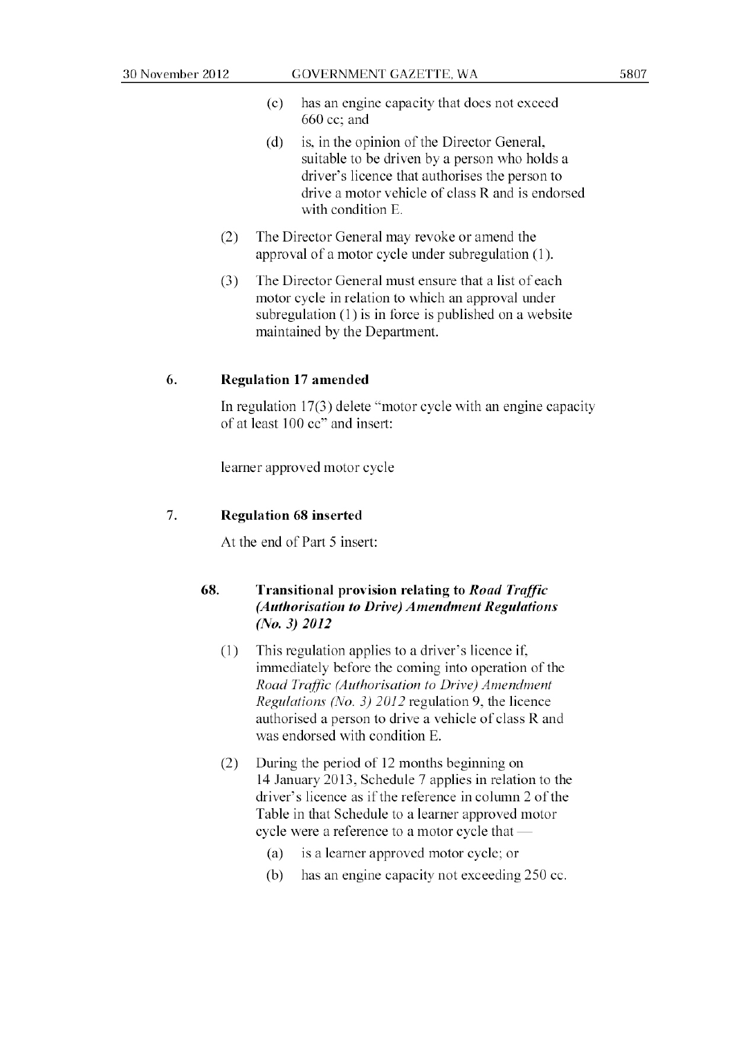- (c) has an engine capacity that does not exceed 660 cc; and
- (d) is. in the opinion of the Director General. suitable to be driven by a person who holds a driver's licence that authorises the person to drive a motor vehicle of class R and is endorsed with condition E.
- (2) The Director General may revoke or amend the approval of a motor cycle under subregulation (1).
- (3) The Director General must ensure that a list of each motor cycle in relation to which an approval under subregulation  $(1)$  is in force is published on a website maintained by the Department.

#### 6. Regulation 17 amended

In regulation  $17(3)$  delete "motor cycle with an engine capacity of at least 100 cc" and insert:

learner approved motor cycle

#### 7. Regulation 68 inserted

At the end of Part 5 insert:

#### 68. Transitional provision **relating** to Road Traffic *(Authorisation to Drive) Amendment Regulations* (*N*o. 3) *2012*

- (1) This regulation applies to a driver's licence **if,** immediately before the coming into operation of the *Road Traffic (Author• isuiion io [)rive) A zenthnent Regulations (No. 3) 20/2* regulation 9. the licence authorised a person to drive a vehicle of class R and was endorsed with condition E.
- (2) During the period of 12 months beginning on 14 January 2013, Schedule 7 applies in relation to the driver's licence as if the reference in column 2 of the Table in that Schedule to a learner approved motor cycle were a reference to a motor cycle that
	- (a) is a learner approved motor cycle; or
	- (b) has an engine capacity not exceeding 250 cc.